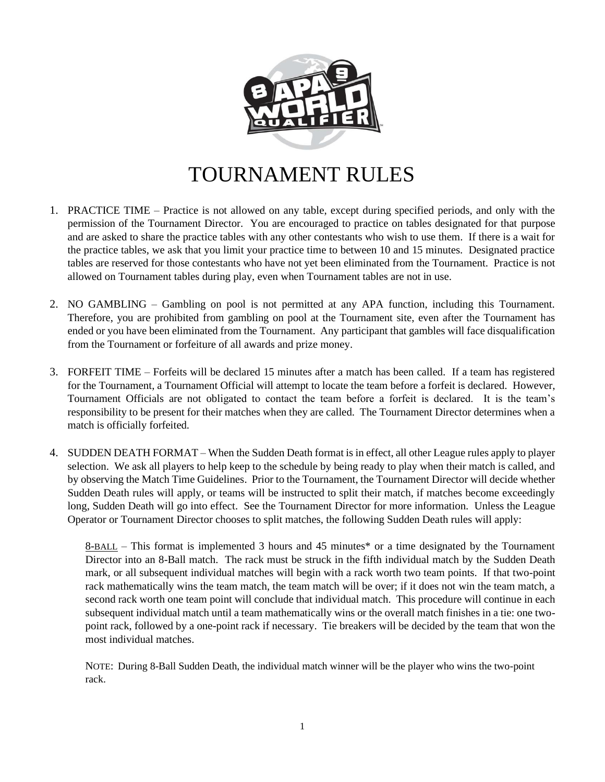

## TOURNAMENT RULES

- 1. PRACTICE TIME Practice is not allowed on any table, except during specified periods, and only with the permission of the Tournament Director. You are encouraged to practice on tables designated for that purpose and are asked to share the practice tables with any other contestants who wish to use them. If there is a wait for the practice tables, we ask that you limit your practice time to between 10 and 15 minutes. Designated practice tables are reserved for those contestants who have not yet been eliminated from the Tournament. Practice is not allowed on Tournament tables during play, even when Tournament tables are not in use.
- 2. NO GAMBLING Gambling on pool is not permitted at any APA function, including this Tournament. Therefore, you are prohibited from gambling on pool at the Tournament site, even after the Tournament has ended or you have been eliminated from the Tournament. Any participant that gambles will face disqualification from the Tournament or forfeiture of all awards and prize money.
- 3. FORFEIT TIME Forfeits will be declared 15 minutes after a match has been called. If a team has registered for the Tournament, a Tournament Official will attempt to locate the team before a forfeit is declared. However, Tournament Officials are not obligated to contact the team before a forfeit is declared. It is the team's responsibility to be present for their matches when they are called. The Tournament Director determines when a match is officially forfeited.
- 4. SUDDEN DEATH FORMAT When the Sudden Death format is in effect, all other League rules apply to player selection. We ask all players to help keep to the schedule by being ready to play when their match is called, and by observing the Match Time Guidelines. Prior to the Tournament, the Tournament Director will decide whether Sudden Death rules will apply, or teams will be instructed to split their match, if matches become exceedingly long, Sudden Death will go into effect. See the Tournament Director for more information. Unless the League Operator or Tournament Director chooses to split matches, the following Sudden Death rules will apply:

8-BALL – This format is implemented 3 hours and 45 minutes\* or a time designated by the Tournament Director into an 8-Ball match. The rack must be struck in the fifth individual match by the Sudden Death mark, or all subsequent individual matches will begin with a rack worth two team points. If that two-point rack mathematically wins the team match, the team match will be over; if it does not win the team match, a second rack worth one team point will conclude that individual match. This procedure will continue in each subsequent individual match until a team mathematically wins or the overall match finishes in a tie: one twopoint rack, followed by a one-point rack if necessary. Tie breakers will be decided by the team that won the most individual matches.

NOTE: During 8-Ball Sudden Death, the individual match winner will be the player who wins the two-point rack.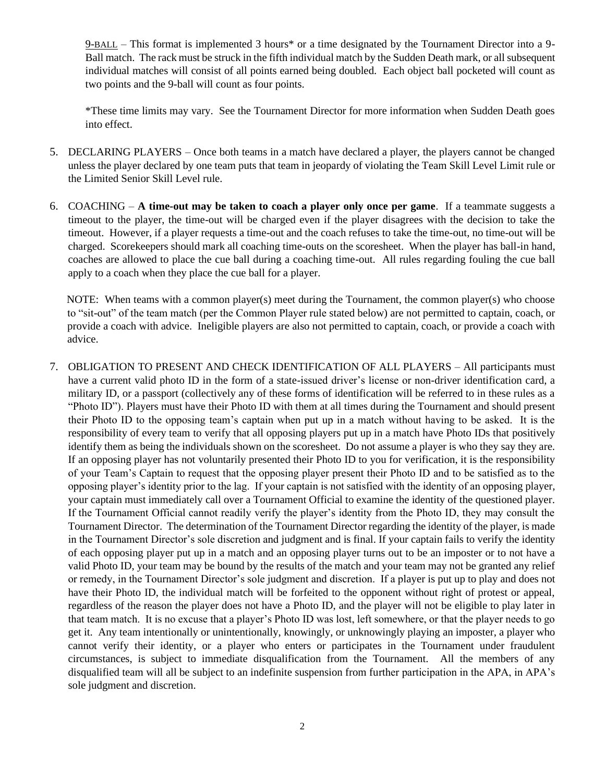9-BALL – This format is implemented 3 hours\* or a time designated by the Tournament Director into a 9- Ball match. The rack must be struck in the fifth individual match by the Sudden Death mark, or all subsequent individual matches will consist of all points earned being doubled. Each object ball pocketed will count as two points and the 9-ball will count as four points.

\*These time limits may vary. See the Tournament Director for more information when Sudden Death goes into effect.

- 5. DECLARING PLAYERS Once both teams in a match have declared a player, the players cannot be changed unless the player declared by one team puts that team in jeopardy of violating the Team Skill Level Limit rule or the Limited Senior Skill Level rule.
- 6. COACHING **A time-out may be taken to coach a player only once per game**. If a teammate suggests a timeout to the player, the time-out will be charged even if the player disagrees with the decision to take the timeout. However, if a player requests a time-out and the coach refuses to take the time-out, no time-out will be charged. Scorekeepers should mark all coaching time-outs on the scoresheet. When the player has ball-in hand, coaches are allowed to place the cue ball during a coaching time-out. All rules regarding fouling the cue ball apply to a coach when they place the cue ball for a player.

NOTE: When teams with a common player(s) meet during the Tournament, the common player(s) who choose to "sit-out" of the team match (per the Common Player rule stated below) are not permitted to captain, coach, or provide a coach with advice. Ineligible players are also not permitted to captain, coach, or provide a coach with advice.

7. OBLIGATION TO PRESENT AND CHECK IDENTIFICATION OF ALL PLAYERS – All participants must have a current valid photo ID in the form of a state-issued driver's license or non-driver identification card, a military ID, or a passport (collectively any of these forms of identification will be referred to in these rules as a "Photo ID"). Players must have their Photo ID with them at all times during the Tournament and should present their Photo ID to the opposing team's captain when put up in a match without having to be asked. It is the responsibility of every team to verify that all opposing players put up in a match have Photo IDs that positively identify them as being the individuals shown on the scoresheet. Do not assume a player is who they say they are. If an opposing player has not voluntarily presented their Photo ID to you for verification, it is the responsibility of your Team's Captain to request that the opposing player present their Photo ID and to be satisfied as to the opposing player's identity prior to the lag. If your captain is not satisfied with the identity of an opposing player, your captain must immediately call over a Tournament Official to examine the identity of the questioned player. If the Tournament Official cannot readily verify the player's identity from the Photo ID, they may consult the Tournament Director. The determination of the Tournament Director regarding the identity of the player, is made in the Tournament Director's sole discretion and judgment and is final. If your captain fails to verify the identity of each opposing player put up in a match and an opposing player turns out to be an imposter or to not have a valid Photo ID, your team may be bound by the results of the match and your team may not be granted any relief or remedy, in the Tournament Director's sole judgment and discretion. If a player is put up to play and does not have their Photo ID, the individual match will be forfeited to the opponent without right of protest or appeal, regardless of the reason the player does not have a Photo ID, and the player will not be eligible to play later in that team match. It is no excuse that a player's Photo ID was lost, left somewhere, or that the player needs to go get it. Any team intentionally or unintentionally, knowingly, or unknowingly playing an imposter, a player who cannot verify their identity, or a player who enters or participates in the Tournament under fraudulent circumstances, is subject to immediate disqualification from the Tournament. All the members of any disqualified team will all be subject to an indefinite suspension from further participation in the APA, in APA's sole judgment and discretion.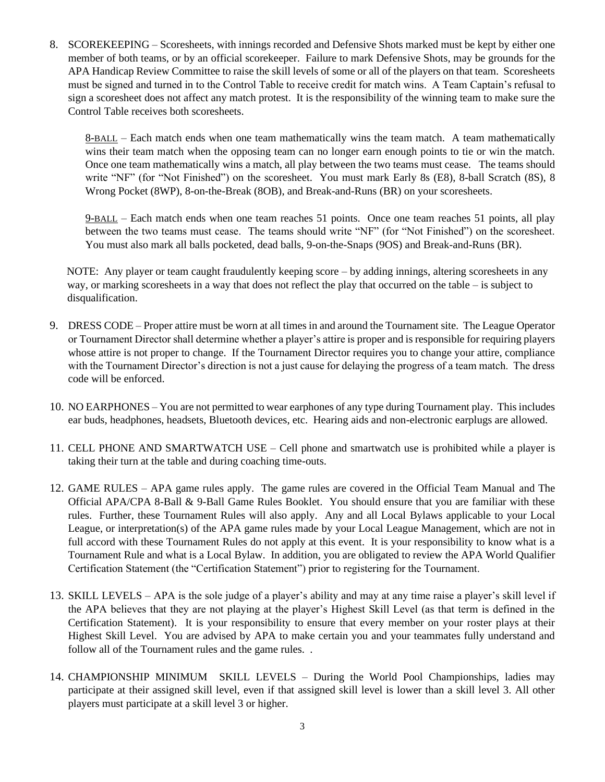8. SCOREKEEPING – Scoresheets, with innings recorded and Defensive Shots marked must be kept by either one member of both teams, or by an official scorekeeper. Failure to mark Defensive Shots, may be grounds for the APA Handicap Review Committee to raise the skill levels of some or all of the players on that team. Scoresheets must be signed and turned in to the Control Table to receive credit for match wins. A Team Captain's refusal to sign a scoresheet does not affect any match protest. It is the responsibility of the winning team to make sure the Control Table receives both scoresheets.

8-BALL – Each match ends when one team mathematically wins the team match. A team mathematically wins their team match when the opposing team can no longer earn enough points to tie or win the match. Once one team mathematically wins a match, all play between the two teams must cease. The teams should write "NF" (for "Not Finished") on the scoresheet. You must mark Early 8s (E8), 8-ball Scratch (8S), 8 Wrong Pocket (8WP), 8-on-the-Break (8OB), and Break-and-Runs (BR) on your scoresheets.

9-BALL – Each match ends when one team reaches 51 points. Once one team reaches 51 points, all play between the two teams must cease. The teams should write "NF" (for "Not Finished") on the scoresheet. You must also mark all balls pocketed, dead balls, 9-on-the-Snaps (9OS) and Break-and-Runs (BR).

NOTE: Any player or team caught fraudulently keeping score – by adding innings, altering scoresheets in any way, or marking scoresheets in a way that does not reflect the play that occurred on the table – is subject to disqualification.

- 9. DRESS CODE Proper attire must be worn at all times in and around the Tournament site. The League Operator or Tournament Director shall determine whether a player's attire is proper and is responsible for requiring players whose attire is not proper to change. If the Tournament Director requires you to change your attire, compliance with the Tournament Director's direction is not a just cause for delaying the progress of a team match. The dress code will be enforced.
- 10. NO EARPHONES You are not permitted to wear earphones of any type during Tournament play. This includes ear buds, headphones, headsets, Bluetooth devices, etc. Hearing aids and non-electronic earplugs are allowed.
- 11. CELL PHONE AND SMARTWATCH USE Cell phone and smartwatch use is prohibited while a player is taking their turn at the table and during coaching time-outs.
- 12. GAME RULES APA game rules apply. The game rules are covered in the Official Team Manual and The Official APA/CPA 8-Ball & 9-Ball Game Rules Booklet. You should ensure that you are familiar with these rules. Further, these Tournament Rules will also apply. Any and all Local Bylaws applicable to your Local League, or interpretation(s) of the APA game rules made by your Local League Management, which are not in full accord with these Tournament Rules do not apply at this event. It is your responsibility to know what is a Tournament Rule and what is a Local Bylaw. In addition, you are obligated to review the APA World Qualifier Certification Statement (the "Certification Statement") prior to registering for the Tournament.
- 13. SKILL LEVELS APA is the sole judge of a player's ability and may at any time raise a player's skill level if the APA believes that they are not playing at the player's Highest Skill Level (as that term is defined in the Certification Statement). It is your responsibility to ensure that every member on your roster plays at their Highest Skill Level. You are advised by APA to make certain you and your teammates fully understand and follow all of the Tournament rules and the game rules...
- 14. CHAMPIONSHIP MINIMUM SKILL LEVELS During the World Pool Championships, ladies may participate at their assigned skill level, even if that assigned skill level is lower than a skill level 3. All other players must participate at a skill level 3 or higher.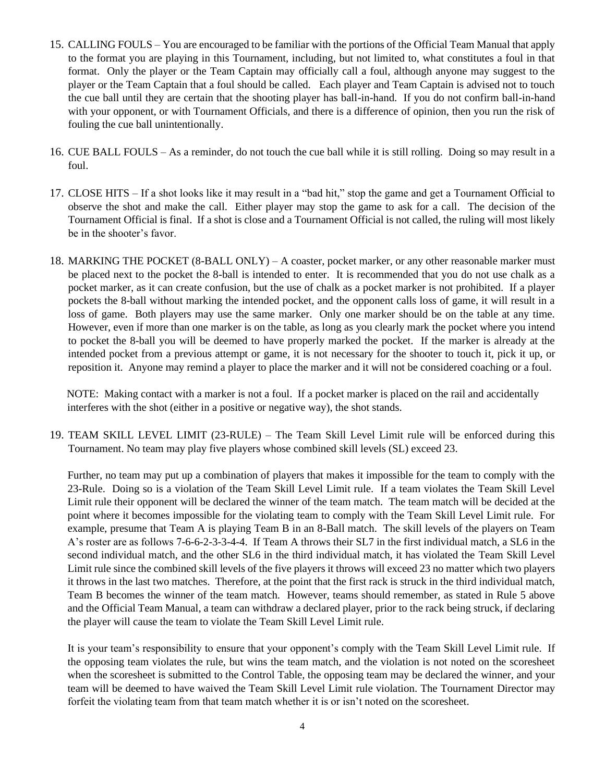- 15. CALLING FOULS You are encouraged to be familiar with the portions of the Official Team Manual that apply to the format you are playing in this Tournament, including, but not limited to, what constitutes a foul in that format. Only the player or the Team Captain may officially call a foul, although anyone may suggest to the player or the Team Captain that a foul should be called. Each player and Team Captain is advised not to touch the cue ball until they are certain that the shooting player has ball-in-hand. If you do not confirm ball-in-hand with your opponent, or with Tournament Officials, and there is a difference of opinion, then you run the risk of fouling the cue ball unintentionally.
- 16. CUE BALL FOULS As a reminder, do not touch the cue ball while it is still rolling. Doing so may result in a foul.
- 17. CLOSE HITS If a shot looks like it may result in a "bad hit," stop the game and get a Tournament Official to observe the shot and make the call. Either player may stop the game to ask for a call. The decision of the Tournament Official is final. If a shot is close and a Tournament Official is not called, the ruling will most likely be in the shooter's favor.
- 18. MARKING THE POCKET (8-BALL ONLY) A coaster, pocket marker, or any other reasonable marker must be placed next to the pocket the 8-ball is intended to enter. It is recommended that you do not use chalk as a pocket marker, as it can create confusion, but the use of chalk as a pocket marker is not prohibited. If a player pockets the 8-ball without marking the intended pocket, and the opponent calls loss of game, it will result in a loss of game. Both players may use the same marker. Only one marker should be on the table at any time. However, even if more than one marker is on the table, as long as you clearly mark the pocket where you intend to pocket the 8-ball you will be deemed to have properly marked the pocket. If the marker is already at the intended pocket from a previous attempt or game, it is not necessary for the shooter to touch it, pick it up, or reposition it. Anyone may remind a player to place the marker and it will not be considered coaching or a foul.

NOTE: Making contact with a marker is not a foul. If a pocket marker is placed on the rail and accidentally interferes with the shot (either in a positive or negative way), the shot stands.

19. TEAM SKILL LEVEL LIMIT (23-RULE) – The Team Skill Level Limit rule will be enforced during this Tournament. No team may play five players whose combined skill levels (SL) exceed 23.

Further, no team may put up a combination of players that makes it impossible for the team to comply with the 23-Rule. Doing so is a violation of the Team Skill Level Limit rule. If a team violates the Team Skill Level Limit rule their opponent will be declared the winner of the team match. The team match will be decided at the point where it becomes impossible for the violating team to comply with the Team Skill Level Limit rule. For example, presume that Team A is playing Team B in an 8-Ball match. The skill levels of the players on Team A's roster are as follows 7-6-6-2-3-3-4-4. If Team A throws their SL7 in the first individual match, a SL6 in the second individual match, and the other SL6 in the third individual match, it has violated the Team Skill Level Limit rule since the combined skill levels of the five players it throws will exceed 23 no matter which two players it throws in the last two matches. Therefore, at the point that the first rack is struck in the third individual match, Team B becomes the winner of the team match. However, teams should remember, as stated in Rule 5 above and the Official Team Manual, a team can withdraw a declared player, prior to the rack being struck, if declaring the player will cause the team to violate the Team Skill Level Limit rule.

It is your team's responsibility to ensure that your opponent's comply with the Team Skill Level Limit rule. If the opposing team violates the rule, but wins the team match, and the violation is not noted on the scoresheet when the scoresheet is submitted to the Control Table, the opposing team may be declared the winner, and your team will be deemed to have waived the Team Skill Level Limit rule violation. The Tournament Director may forfeit the violating team from that team match whether it is or isn't noted on the scoresheet.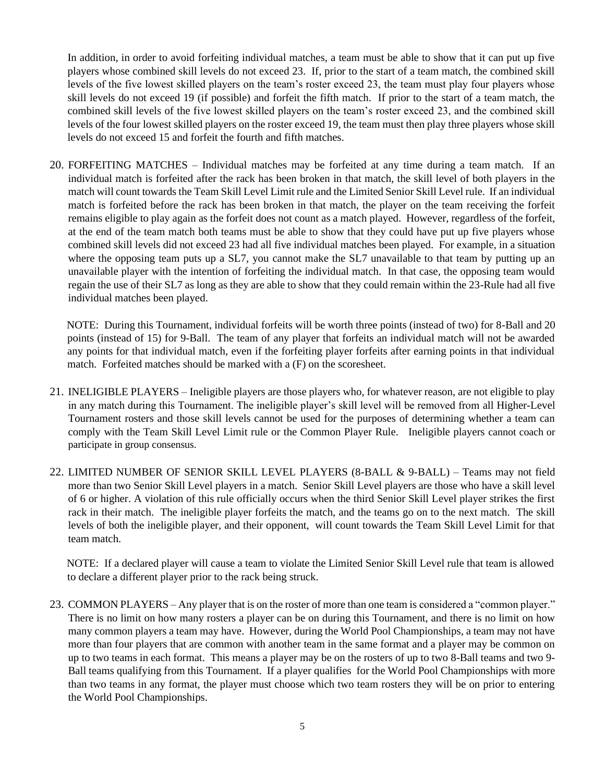In addition, in order to avoid forfeiting individual matches, a team must be able to show that it can put up five players whose combined skill levels do not exceed 23. If, prior to the start of a team match, the combined skill levels of the five lowest skilled players on the team's roster exceed 23, the team must play four players whose skill levels do not exceed 19 (if possible) and forfeit the fifth match. If prior to the start of a team match, the combined skill levels of the five lowest skilled players on the team's roster exceed 23, and the combined skill levels of the four lowest skilled players on the roster exceed 19, the team must then play three players whose skill levels do not exceed 15 and forfeit the fourth and fifth matches.

20. FORFEITING MATCHES – Individual matches may be forfeited at any time during a team match. If an individual match is forfeited after the rack has been broken in that match, the skill level of both players in the match will count towards the Team Skill Level Limit rule and the Limited Senior Skill Level rule. If an individual match is forfeited before the rack has been broken in that match, the player on the team receiving the forfeit remains eligible to play again as the forfeit does not count as a match played. However, regardless of the forfeit, at the end of the team match both teams must be able to show that they could have put up five players whose combined skill levels did not exceed 23 had all five individual matches been played. For example, in a situation where the opposing team puts up a SL7, you cannot make the SL7 unavailable to that team by putting up an unavailable player with the intention of forfeiting the individual match. In that case, the opposing team would regain the use of their SL7 as long as they are able to show that they could remain within the 23-Rule had all five individual matches been played.

NOTE: During this Tournament, individual forfeits will be worth three points (instead of two) for 8-Ball and 20 points (instead of 15) for 9-Ball. The team of any player that forfeits an individual match will not be awarded any points for that individual match, even if the forfeiting player forfeits after earning points in that individual match. Forfeited matches should be marked with a (F) on the scoresheet.

- 21. INELIGIBLE PLAYERS Ineligible players are those players who, for whatever reason, are not eligible to play in any match during this Tournament. The ineligible player's skill level will be removed from all Higher-Level Tournament rosters and those skill levels cannot be used for the purposes of determining whether a team can comply with the Team Skill Level Limit rule or the Common Player Rule. Ineligible players cannot coach or participate in group consensus.
- 22. LIMITED NUMBER OF SENIOR SKILL LEVEL PLAYERS (8-BALL & 9-BALL) Teams may not field more than two Senior Skill Level players in a match. Senior Skill Level players are those who have a skill level of 6 or higher. A violation of this rule officially occurs when the third Senior Skill Level player strikes the first rack in their match. The ineligible player forfeits the match, and the teams go on to the next match. The skill levels of both the ineligible player, and their opponent, will count towards the Team Skill Level Limit for that team match.

NOTE: If a declared player will cause a team to violate the Limited Senior Skill Level rule that team is allowed to declare a different player prior to the rack being struck.

23. COMMON PLAYERS – Any player that is on the roster of more than one team is considered a "common player." There is no limit on how many rosters a player can be on during this Tournament, and there is no limit on how many common players a team may have. However, during the World Pool Championships, a team may not have more than four players that are common with another team in the same format and a player may be common on up to two teams in each format. This means a player may be on the rosters of up to two 8-Ball teams and two 9- Ball teams qualifying from this Tournament. If a player qualifies for the World Pool Championships with more than two teams in any format, the player must choose which two team rosters they will be on prior to entering the World Pool Championships.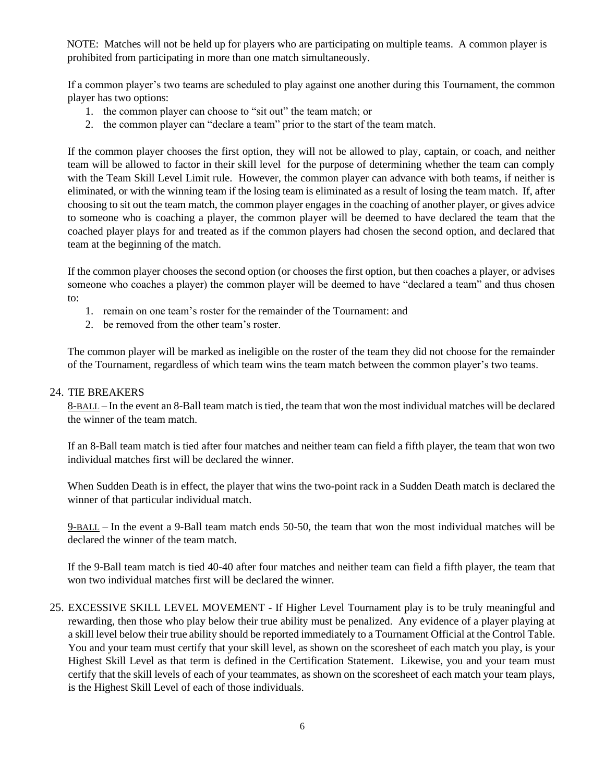NOTE: Matches will not be held up for players who are participating on multiple teams. A common player is prohibited from participating in more than one match simultaneously.

If a common player's two teams are scheduled to play against one another during this Tournament, the common player has two options:

- 1. the common player can choose to "sit out" the team match; or
- 2. the common player can "declare a team" prior to the start of the team match.

If the common player chooses the first option, they will not be allowed to play, captain, or coach, and neither team will be allowed to factor in their skill level for the purpose of determining whether the team can comply with the Team Skill Level Limit rule. However, the common player can advance with both teams, if neither is eliminated, or with the winning team if the losing team is eliminated as a result of losing the team match. If, after choosing to sit out the team match, the common player engages in the coaching of another player, or gives advice to someone who is coaching a player, the common player will be deemed to have declared the team that the coached player plays for and treated as if the common players had chosen the second option, and declared that team at the beginning of the match.

If the common player chooses the second option (or chooses the first option, but then coaches a player, or advises someone who coaches a player) the common player will be deemed to have "declared a team" and thus chosen to:

- 1. remain on one team's roster for the remainder of the Tournament: and
- 2. be removed from the other team's roster.

The common player will be marked as ineligible on the roster of the team they did not choose for the remainder of the Tournament, regardless of which team wins the team match between the common player's two teams.

## 24. TIE BREAKERS

8-BALL – In the event an 8-Ball team match is tied, the team that won the most individual matches will be declared the winner of the team match.

If an 8-Ball team match is tied after four matches and neither team can field a fifth player, the team that won two individual matches first will be declared the winner.

When Sudden Death is in effect, the player that wins the two-point rack in a Sudden Death match is declared the winner of that particular individual match.

9-BALL – In the event a 9-Ball team match ends 50-50, the team that won the most individual matches will be declared the winner of the team match.

If the 9-Ball team match is tied 40-40 after four matches and neither team can field a fifth player, the team that won two individual matches first will be declared the winner.

25. EXCESSIVE SKILL LEVEL MOVEMENT - If Higher Level Tournament play is to be truly meaningful and rewarding, then those who play below their true ability must be penalized. Any evidence of a player playing at a skill level below their true ability should be reported immediately to a Tournament Official at the Control Table. You and your team must certify that your skill level, as shown on the scoresheet of each match you play, is your Highest Skill Level as that term is defined in the Certification Statement. Likewise, you and your team must certify that the skill levels of each of your teammates, as shown on the scoresheet of each match your team plays, is the Highest Skill Level of each of those individuals.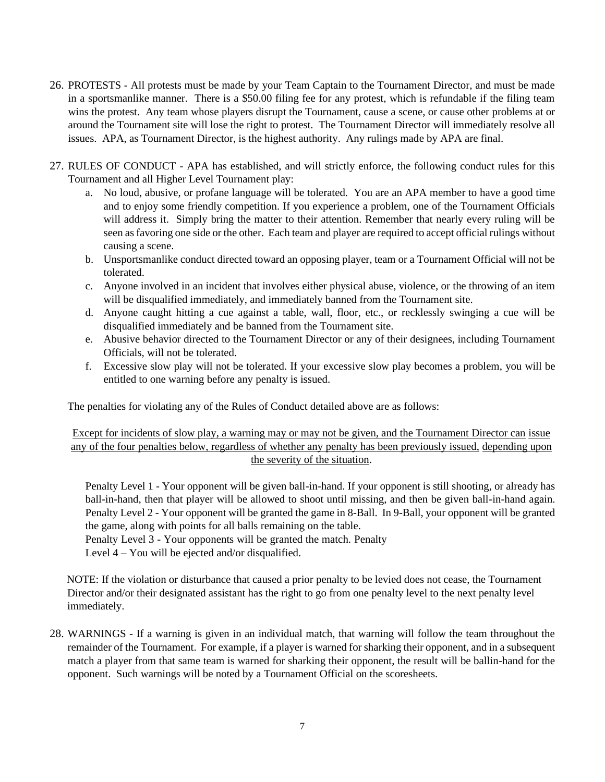- 26. PROTESTS All protests must be made by your Team Captain to the Tournament Director, and must be made in a sportsmanlike manner. There is a \$50.00 filing fee for any protest, which is refundable if the filing team wins the protest. Any team whose players disrupt the Tournament, cause a scene, or cause other problems at or around the Tournament site will lose the right to protest. The Tournament Director will immediately resolve all issues. APA, as Tournament Director, is the highest authority. Any rulings made by APA are final.
- 27. RULES OF CONDUCT APA has established, and will strictly enforce, the following conduct rules for this Tournament and all Higher Level Tournament play:
	- a. No loud, abusive, or profane language will be tolerated. You are an APA member to have a good time and to enjoy some friendly competition. If you experience a problem, one of the Tournament Officials will address it. Simply bring the matter to their attention. Remember that nearly every ruling will be seen as favoring one side or the other. Each team and player are required to accept official rulings without causing a scene.
	- b. Unsportsmanlike conduct directed toward an opposing player, team or a Tournament Official will not be tolerated.
	- c. Anyone involved in an incident that involves either physical abuse, violence, or the throwing of an item will be disqualified immediately, and immediately banned from the Tournament site.
	- d. Anyone caught hitting a cue against a table, wall, floor, etc., or recklessly swinging a cue will be disqualified immediately and be banned from the Tournament site.
	- e. Abusive behavior directed to the Tournament Director or any of their designees, including Tournament Officials, will not be tolerated.
	- f. Excessive slow play will not be tolerated. If your excessive slow play becomes a problem, you will be entitled to one warning before any penalty is issued.

The penalties for violating any of the Rules of Conduct detailed above are as follows:

## Except for incidents of slow play, a warning may or may not be given, and the Tournament Director can issue any of the four penalties below, regardless of whether any penalty has been previously issued, depending upon the severity of the situation.

Penalty Level 1 - Your opponent will be given ball-in-hand. If your opponent is still shooting, or already has ball-in-hand, then that player will be allowed to shoot until missing, and then be given ball-in-hand again. Penalty Level 2 - Your opponent will be granted the game in 8-Ball. In 9-Ball, your opponent will be granted the game, along with points for all balls remaining on the table.

Penalty Level 3 - Your opponents will be granted the match. Penalty

Level 4 – You will be ejected and/or disqualified.

NOTE: If the violation or disturbance that caused a prior penalty to be levied does not cease, the Tournament Director and/or their designated assistant has the right to go from one penalty level to the next penalty level immediately.

28. WARNINGS - If a warning is given in an individual match, that warning will follow the team throughout the remainder of the Tournament. For example, if a player is warned for sharking their opponent, and in a subsequent match a player from that same team is warned for sharking their opponent, the result will be ballin-hand for the opponent. Such warnings will be noted by a Tournament Official on the scoresheets.